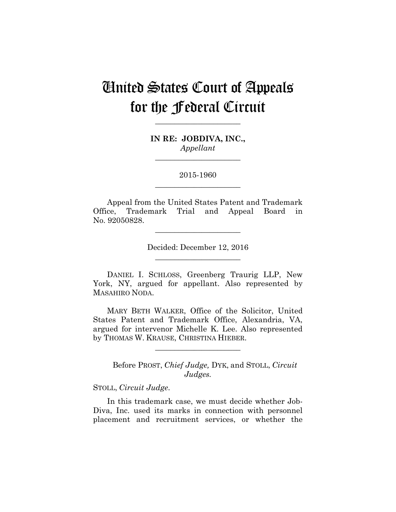# United States Court of Appeals for the Federal Circuit

**IN RE: JOBDIVA, INC.,** *Appellant*

**\_\_\_\_\_\_\_\_\_\_\_\_\_\_\_\_\_\_\_\_\_\_** 

**\_\_\_\_\_\_\_\_\_\_\_\_\_\_\_\_\_\_\_\_\_\_** 

2015-1960 **\_\_\_\_\_\_\_\_\_\_\_\_\_\_\_\_\_\_\_\_\_\_** 

Appeal from the United States Patent and Trademark Office, Trademark Trial and Appeal Board in No. 92050828.

> Decided: December 12, 2016 **\_\_\_\_\_\_\_\_\_\_\_\_\_\_\_\_\_\_\_\_\_\_**

**\_\_\_\_\_\_\_\_\_\_\_\_\_\_\_\_\_\_\_\_\_\_** 

DANIEL I. SCHLOSS, Greenberg Traurig LLP, New York, NY, argued for appellant. Also represented by MASAHIRO NODA.

MARY BETH WALKER, Office of the Solicitor, United States Patent and Trademark Office, Alexandria, VA, argued for intervenor Michelle K. Lee. Also represented by THOMAS W. KRAUSE, CHRISTINA HIEBER.

**\_\_\_\_\_\_\_\_\_\_\_\_\_\_\_\_\_\_\_\_\_\_** 

Before PROST, *Chief Judge,* DYK, and STOLL, *Circuit Judges.*

STOLL, *Circuit Judge*.

In this trademark case, we must decide whether Job-Diva, Inc. used its marks in connection with personnel placement and recruitment services, or whether the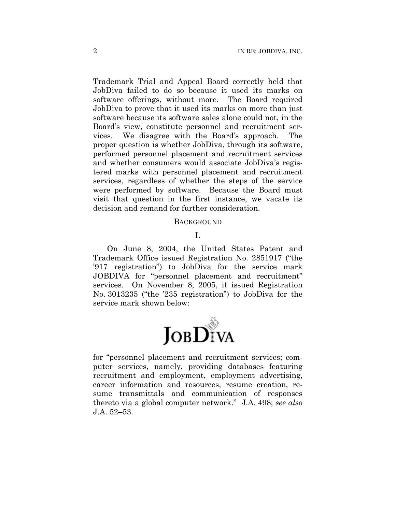Trademark Trial and Appeal Board correctly held that JobDiva failed to do so because it used its marks on software offerings, without more. The Board required JobDiva to prove that it used its marks on more than just software because its software sales alone could not, in the Board's view, constitute personnel and recruitment services. We disagree with the Board's approach. The proper question is whether JobDiva, through its software, performed personnel placement and recruitment services and whether consumers would associate JobDiva's registered marks with personnel placement and recruitment services, regardless of whether the steps of the service were performed by software. Because the Board must visit that question in the first instance, we vacate its decision and remand for further consideration.

#### **BACKGROUND**

I.

On June 8, 2004, the United States Patent and Trademark Office issued Registration No. 2851917 ("the '917 registration") to JobDiva for the service mark JOBDIVA for "personnel placement and recruitment" services. On November 8, 2005, it issued Registration No. 3013235 ("the '235 registration") to JobDiva for the service mark shown below:



for "personnel placement and recruitment services; computer services, namely, providing databases featuring recruitment and employment, employment advertising, career information and resources, resume creation, resume transmittals and communication of responses thereto via a global computer network." J.A. 498; *see also*  J.A. 52–53.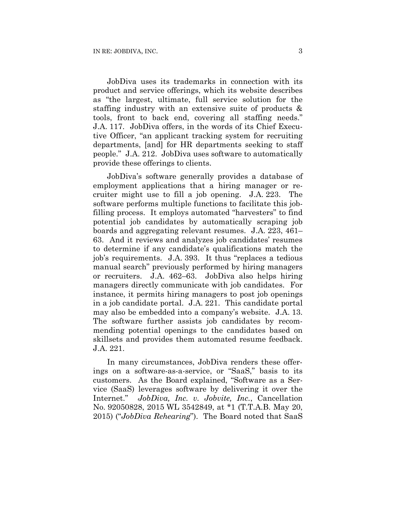JobDiva uses its trademarks in connection with its product and service offerings, which its website describes as "the largest, ultimate, full service solution for the staffing industry with an extensive suite of products & tools, front to back end, covering all staffing needs." J.A. 117. JobDiva offers, in the words of its Chief Executive Officer, "an applicant tracking system for recruiting departments, [and] for HR departments seeking to staff people." J.A. 212. JobDiva uses software to automatically provide these offerings to clients.

JobDiva's software generally provides a database of employment applications that a hiring manager or recruiter might use to fill a job opening. J.A. 223. The software performs multiple functions to facilitate this jobfilling process. It employs automated "harvesters" to find potential job candidates by automatically scraping job boards and aggregating relevant resumes. J.A. 223, 461– 63. And it reviews and analyzes job candidates' resumes to determine if any candidate's qualifications match the job's requirements. J.A. 393. It thus "replaces a tedious manual search" previously performed by hiring managers or recruiters. J.A. 462–63. JobDiva also helps hiring managers directly communicate with job candidates. For instance, it permits hiring managers to post job openings in a job candidate portal. J.A. 221. This candidate portal may also be embedded into a company's website. J.A. 13. The software further assists job candidates by recommending potential openings to the candidates based on skillsets and provides them automated resume feedback. J.A. 221.

In many circumstances, JobDiva renders these offerings on a software-as-a-service, or "SaaS," basis to its customers. As the Board explained, "Software as a Service (SaaS) leverages software by delivering it over the Internet." *JobDiva, Inc. v. Jobvite, Inc.*, Cancellation No. 92050828, 2015 WL 3542849, at \*1 (T.T.A.B. May 20, 2015) ("*JobDiva Rehearing*"). The Board noted that SaaS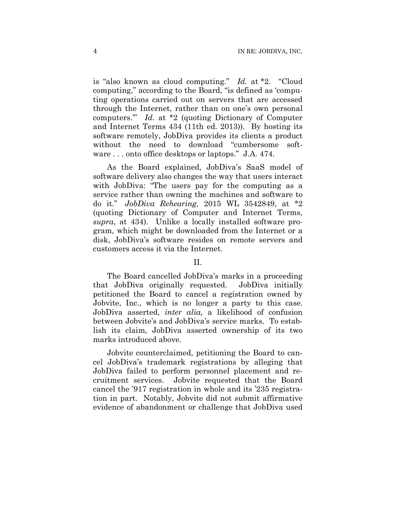is "also known as cloud computing." *Id.* at \*2. "Cloud computing," according to the Board, "is defined as 'computing operations carried out on servers that are accessed through the Internet, rather than on one's own personal computers.'" *Id.* at \*2 (quoting Dictionary of Computer and Internet Terms 434 (11th ed. 2013)). By hosting its software remotely, JobDiva provides its clients a product without the need to download "cumbersome software . . . onto office desktops or laptops." J.A. 474.

As the Board explained, JobDiva's SaaS model of software delivery also changes the way that users interact with JobDiva: "The users pay for the computing as a service rather than owning the machines and software to do it." *JobDiva Rehearing*, 2015 WL 3542849, at \*2 (quoting Dictionary of Computer and Internet Terms, *supra*, at 434). Unlike a locally installed software program, which might be downloaded from the Internet or a disk, JobDiva's software resides on remote servers and customers access it via the Internet.

## II.

The Board cancelled JobDiva's marks in a proceeding that JobDiva originally requested. JobDiva initially petitioned the Board to cancel a registration owned by Jobvite, Inc., which is no longer a party to this case. JobDiva asserted, *inter alia,* a likelihood of confusion between Jobvite's and JobDiva's service marks. To establish its claim, JobDiva asserted ownership of its two marks introduced above.

Jobvite counterclaimed, petitioning the Board to cancel JobDiva's trademark registrations by alleging that JobDiva failed to perform personnel placement and recruitment services. Jobvite requested that the Board cancel the '917 registration in whole and its '235 registration in part. Notably, Jobvite did not submit affirmative evidence of abandonment or challenge that JobDiva used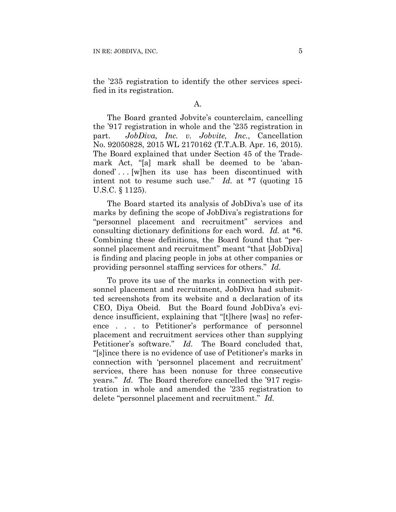the '235 registration to identify the other services specified in its registration.

### A.

The Board granted Jobvite's counterclaim, cancelling the '917 registration in whole and the '235 registration in part. *JobDiva, Inc. v. Jobvite, Inc.*, Cancellation No. 92050828, 2015 WL 2170162 (T.T.A.B. Apr. 16, 2015). The Board explained that under Section 45 of the Trademark Act, "[a] mark shall be deemed to be 'abandoned'... [w]hen its use has been discontinued with intent not to resume such use." *Id.* at \*7 (quoting 15 U.S.C. § 1125).

The Board started its analysis of JobDiva's use of its marks by defining the scope of JobDiva's registrations for "personnel placement and recruitment" services and consulting dictionary definitions for each word. *Id.* at \*6. Combining these definitions, the Board found that "personnel placement and recruitment" meant "that [JobDiva] is finding and placing people in jobs at other companies or providing personnel staffing services for others." *Id.*

To prove its use of the marks in connection with personnel placement and recruitment, JobDiva had submitted screenshots from its website and a declaration of its CEO, Diya Obeid. But the Board found JobDiva's evidence insufficient, explaining that "[t]here [was] no reference . . . to Petitioner's performance of personnel placement and recruitment services other than supplying Petitioner's software." *Id.* The Board concluded that, "[s]ince there is no evidence of use of Petitioner's marks in connection with 'personnel placement and recruitment' services, there has been nonuse for three consecutive years." *Id.* The Board therefore cancelled the '917 registration in whole and amended the '235 registration to delete "personnel placement and recruitment." *Id.*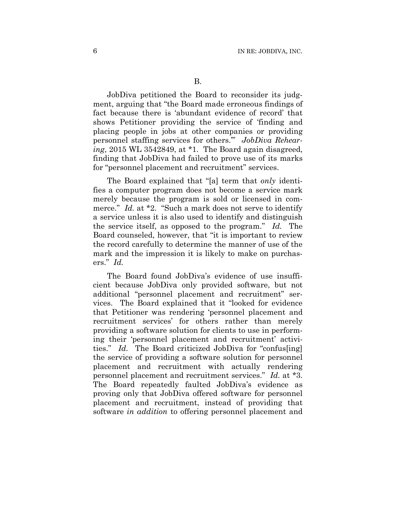JobDiva petitioned the Board to reconsider its judgment, arguing that "the Board made erroneous findings of fact because there is 'abundant evidence of record' that shows Petitioner providing the service of 'finding and placing people in jobs at other companies or providing personnel staffing services for others.'" *JobDiva Rehearing*, 2015 WL 3542849, at \*1. The Board again disagreed, finding that JobDiva had failed to prove use of its marks for "personnel placement and recruitment" services.

The Board explained that "[a] term that *only* identifies a computer program does not become a service mark merely because the program is sold or licensed in commerce." *Id.* at \*2. "Such a mark does not serve to identify a service unless it is also used to identify and distinguish the service itself, as opposed to the program." *Id.* The Board counseled, however, that "it is important to review the record carefully to determine the manner of use of the mark and the impression it is likely to make on purchasers." *Id.* 

The Board found JobDiva's evidence of use insufficient because JobDiva only provided software, but not additional "personnel placement and recruitment" services. The Board explained that it "looked for evidence that Petitioner was rendering 'personnel placement and recruitment services' for others rather than merely providing a software solution for clients to use in performing their 'personnel placement and recruitment' activities." *Id.* The Board criticized JobDiva for "confus[ing] the service of providing a software solution for personnel placement and recruitment with actually rendering personnel placement and recruitment services." *Id.* at \*3. The Board repeatedly faulted JobDiva's evidence as proving only that JobDiva offered software for personnel placement and recruitment, instead of providing that software *in addition* to offering personnel placement and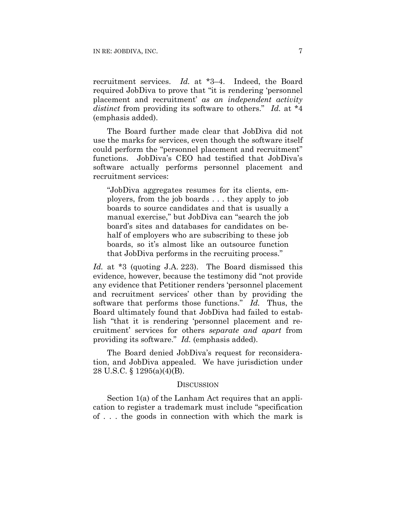recruitment services. *Id.* at \*3–4. Indeed, the Board required JobDiva to prove that "it is rendering 'personnel placement and recruitment' *as an independent activity distinct* from providing its software to others." *Id.* at \*4 (emphasis added).

The Board further made clear that JobDiva did not use the marks for services, even though the software itself could perform the "personnel placement and recruitment" functions. JobDiva's CEO had testified that JobDiva's software actually performs personnel placement and recruitment services:

"JobDiva aggregates resumes for its clients, employers, from the job boards . . . they apply to job boards to source candidates and that is usually a manual exercise," but JobDiva can "search the job board's sites and databases for candidates on behalf of employers who are subscribing to these job boards, so it's almost like an outsource function that JobDiva performs in the recruiting process."

*Id.* at \*3 (quoting J.A. 223). The Board dismissed this evidence, however, because the testimony did "not provide any evidence that Petitioner renders 'personnel placement and recruitment services' other than by providing the software that performs those functions." *Id.* Thus, the Board ultimately found that JobDiva had failed to establish "that it is rendering 'personnel placement and recruitment' services for others *separate and apart* from providing its software." *Id.* (emphasis added).

The Board denied JobDiva's request for reconsideration, and JobDiva appealed. We have jurisdiction under 28 U.S.C. § 1295(a)(4)(B).

#### **DISCUSSION**

Section 1(a) of the Lanham Act requires that an application to register a trademark must include "specification of . . . the goods in connection with which the mark is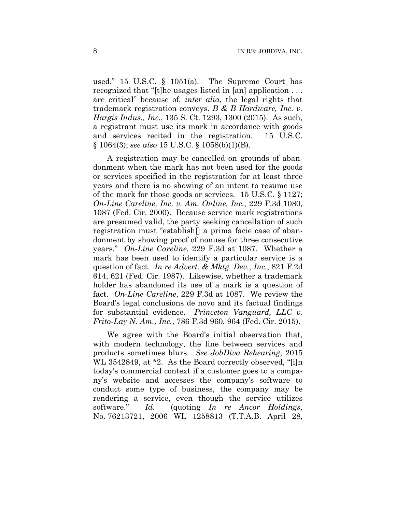used." 15 U.S.C. § 1051(a). The Supreme Court has recognized that "[t]he usages listed in [an] application . . . are critical" because of, *inter alia*, the legal rights that trademark registration conveys. *B & B Hardware, Inc. v. Hargis Indus., Inc.*, 135 S. Ct. 1293, 1300 (2015). As such, a registrant must use its mark in accordance with goods and services recited in the registration. 15 U.S.C. § 1064(3); *see also* 15 U.S.C. § 1058(b)(1)(B).

A registration may be cancelled on grounds of abandonment when the mark has not been used for the goods or services specified in the registration for at least three years and there is no showing of an intent to resume use of the mark for those goods or services. 15 U.S.C. § 1127; *On-Line Careline, Inc. v. Am. Online, Inc.*, 229 F.3d 1080, 1087 (Fed. Cir. 2000). Because service mark registrations are presumed valid, the party seeking cancellation of such registration must "establish[] a prima facie case of abandonment by showing proof of nonuse for three consecutive years." *On-Line Careline*, 229 F.3d at 1087. Whether a mark has been used to identify a particular service is a question of fact. *In re Advert. & Mktg. Dev., Inc.*, 821 F.2d 614, 621 (Fed. Cir. 1987). Likewise, whether a trademark holder has abandoned its use of a mark is a question of fact. *On-Line Careline*, 229 F.3d at 1087. We review the Board's legal conclusions de novo and its factual findings for substantial evidence. *Princeton Vanguard, LLC v. Frito-Lay N. Am., Inc.*, 786 F.3d 960, 964 (Fed. Cir. 2015).

We agree with the Board's initial observation that, with modern technology, the line between services and products sometimes blurs. *See JobDiva Rehearing*, 2015 WL 3542849, at \*2. As the Board correctly observed, "[i]n today's commercial context if a customer goes to a company's website and accesses the company's software to conduct some type of business, the company may be rendering a service, even though the service utilizes software." *Id.* (quoting *In re Ancor Holdings*, No. 76213721, 2006 WL 1258813 (T.T.A.B. April 28,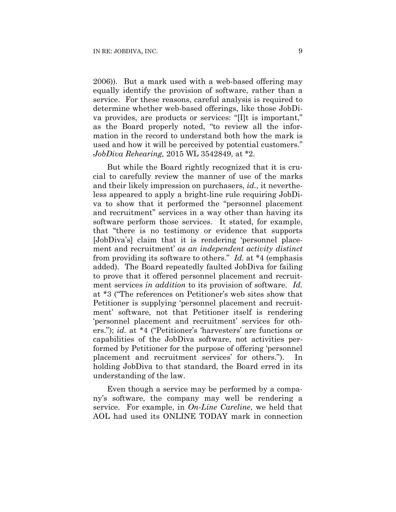2006)). But a mark used with a web-based offering may equally identify the provision of software, rather than a service. For these reasons, careful analysis is required to determine whether web-based offerings, like those JobDiva provides, are products or services: "[I]t is important," as the Board properly noted, "to review all the information in the record to understand both how the mark is used and how it will be perceived by potential customers." *JobDiva Rehearing,* 2015 WL 3542849, at \*2.

But while the Board rightly recognized that it is crucial to carefully review the manner of use of the marks and their likely impression on purchasers, *id.*, it nevertheless appeared to apply a bright-line rule requiring JobDiva to show that it performed the "personnel placement and recruitment" services in a way other than having its software perform those services. It stated, for example, that "there is no testimony or evidence that supports [JobDiva's] claim that it is rendering 'personnel placement and recruitment' *as an independent activity distinct* from providing its software to others." *Id.* at \*4 (emphasis added). The Board repeatedly faulted JobDiva for failing to prove that it offered personnel placement and recruitment services *in addition* to its provision of software. *Id.* at \*3 ("The references on Petitioner's web sites show that Petitioner is supplying 'personnel placement and recruitment' software, not that Petitioner itself is rendering 'personnel placement and recruitment' services for others."); *id.* at \*4 ("Petitioner's 'harvesters' are functions or capabilities of the JobDiva software, not activities performed by Petitioner for the purpose of offering 'personnel placement and recruitment services' for others."). In holding JobDiva to that standard, the Board erred in its understanding of the law.

Even though a service may be performed by a company's software, the company may well be rendering a service. For example, in *On-Line Careline*, we held that AOL had used its ONLINE TODAY mark in connection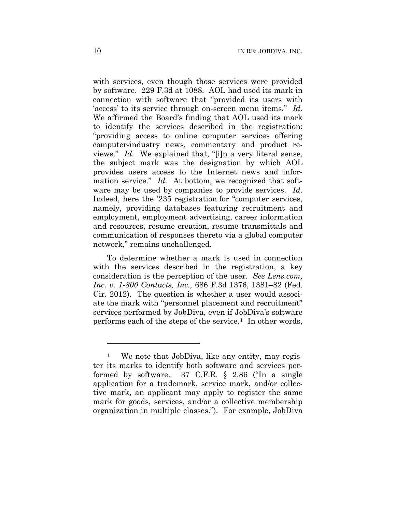with services, even though those services were provided by software. 229 F.3d at 1088. AOL had used its mark in connection with software that "provided its users with 'access' to its service through on-screen menu items." *Id.*  We affirmed the Board's finding that AOL used its mark to identify the services described in the registration: "providing access to online computer services offering computer-industry news, commentary and product reviews." *Id.* We explained that, "[i]n a very literal sense, the subject mark was the designation by which AOL provides users access to the Internet news and information service." *Id.* At bottom, we recognized that software may be used by companies to provide services. *Id.*  Indeed, here the '235 registration for "computer services, namely, providing databases featuring recruitment and employment, employment advertising, career information and resources, resume creation, resume transmittals and communication of responses thereto via a global computer network," remains unchallenged.

To determine whether a mark is used in connection with the services described in the registration, a key consideration is the perception of the user. *See Lens.com, Inc. v. 1-800 Contacts, Inc.,* 686 F.3d 1376, 1381–82 (Fed. Cir. 2012). The question is whether a user would associate the mark with "personnel placement and recruitment" services performed by JobDiva, even if JobDiva's software performs each of the steps of the service.1 In other words,

1

<sup>1</sup> We note that JobDiva, like any entity, may register its marks to identify both software and services performed by software. 37 C.F.R. § 2.86 ("In a single application for a trademark, service mark, and/or collective mark, an applicant may apply to register the same mark for goods, services, and/or a collective membership organization in multiple classes."). For example, JobDiva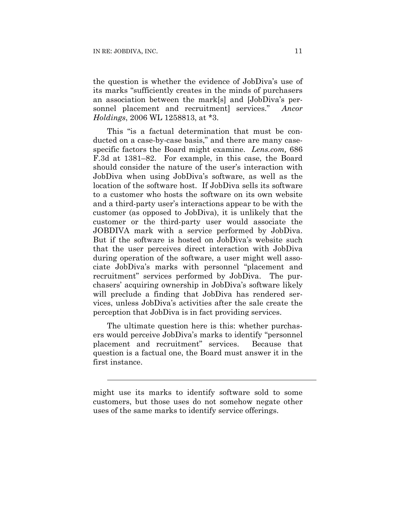$\overline{a}$ 

the question is whether the evidence of JobDiva's use of its marks "sufficiently creates in the minds of purchasers an association between the mark[s] and [JobDiva's personnel placement and recruitment] services." *Ancor Holdings*, 2006 WL 1258813, at \*3.

This "is a factual determination that must be conducted on a case-by-case basis," and there are many casespecific factors the Board might examine. *Lens.com,* 686 F.3d at 1381–82. For example, in this case, the Board should consider the nature of the user's interaction with JobDiva when using JobDiva's software, as well as the location of the software host. If JobDiva sells its software to a customer who hosts the software on its own website and a third-party user's interactions appear to be with the customer (as opposed to JobDiva), it is unlikely that the customer or the third-party user would associate the JOBDIVA mark with a service performed by JobDiva. But if the software is hosted on JobDiva's website such that the user perceives direct interaction with JobDiva during operation of the software, a user might well associate JobDiva's marks with personnel "placement and recruitment" services performed by JobDiva. The purchasers' acquiring ownership in JobDiva's software likely will preclude a finding that JobDiva has rendered services, unless JobDiva's activities after the sale create the perception that JobDiva is in fact providing services.

The ultimate question here is this: whether purchasers would perceive JobDiva's marks to identify "personnel placement and recruitment" services. Because that question is a factual one, the Board must answer it in the first instance.

might use its marks to identify software sold to some customers, but those uses do not somehow negate other uses of the same marks to identify service offerings.